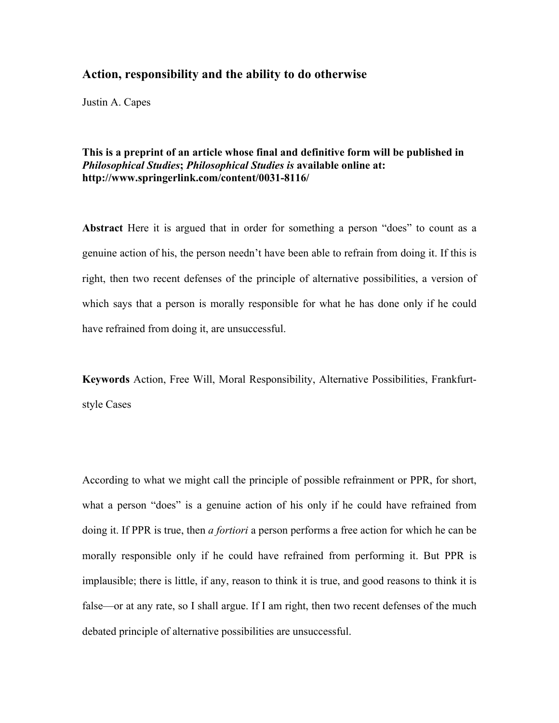# **Action, responsibility and the ability to do otherwise**

Justin A. Capes

**This is a preprint of an article whose final and definitive form will be published in** *Philosophical Studies***;** *Philosophical Studies is* **available online at: http://www.springerlink.com/content/0031-8116/**

**Abstract** Here it is argued that in order for something a person "does" to count as a genuine action of his, the person needn't have been able to refrain from doing it. If this is right, then two recent defenses of the principle of alternative possibilities, a version of which says that a person is morally responsible for what he has done only if he could have refrained from doing it, are unsuccessful.

**Keywords** Action, Free Will, Moral Responsibility, Alternative Possibilities, Frankfurtstyle Cases

According to what we might call the principle of possible refrainment or PPR, for short, what a person "does" is a genuine action of his only if he could have refrained from doing it. If PPR is true, then *a fortiori* a person performs a free action for which he can be morally responsible only if he could have refrained from performing it. But PPR is implausible; there is little, if any, reason to think it is true, and good reasons to think it is false—or at any rate, so I shall argue. If I am right, then two recent defenses of the much debated principle of alternative possibilities are unsuccessful.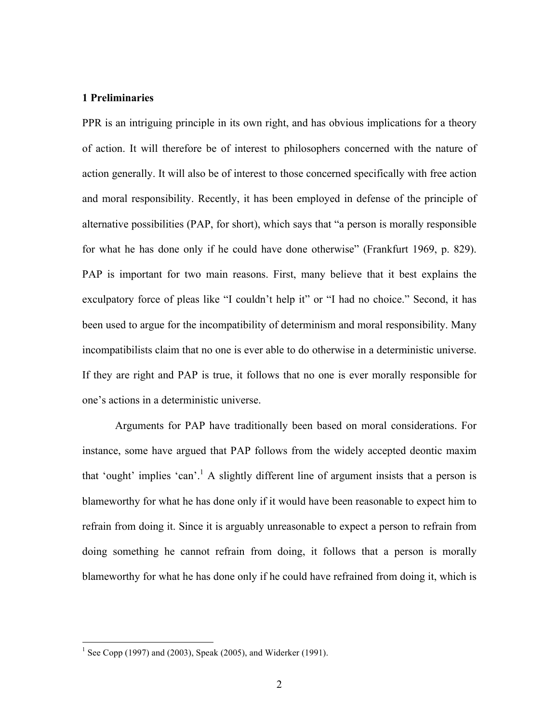# **1 Preliminaries**

PPR is an intriguing principle in its own right, and has obvious implications for a theory of action. It will therefore be of interest to philosophers concerned with the nature of action generally. It will also be of interest to those concerned specifically with free action and moral responsibility. Recently, it has been employed in defense of the principle of alternative possibilities (PAP, for short), which says that "a person is morally responsible for what he has done only if he could have done otherwise" (Frankfurt 1969, p. 829). PAP is important for two main reasons. First, many believe that it best explains the exculpatory force of pleas like "I couldn't help it" or "I had no choice." Second, it has been used to argue for the incompatibility of determinism and moral responsibility. Many incompatibilists claim that no one is ever able to do otherwise in a deterministic universe. If they are right and PAP is true, it follows that no one is ever morally responsible for one's actions in a deterministic universe.

Arguments for PAP have traditionally been based on moral considerations. For instance, some have argued that PAP follows from the widely accepted deontic maxim that 'ought' implies 'can'.<sup>1</sup> A slightly different line of argument insists that a person is blameworthy for what he has done only if it would have been reasonable to expect him to refrain from doing it. Since it is arguably unreasonable to expect a person to refrain from doing something he cannot refrain from doing, it follows that a person is morally blameworthy for what he has done only if he could have refrained from doing it, which is

<sup>&</sup>lt;sup>1</sup> See Copp (1997) and (2003), Speak (2005), and Widerker (1991).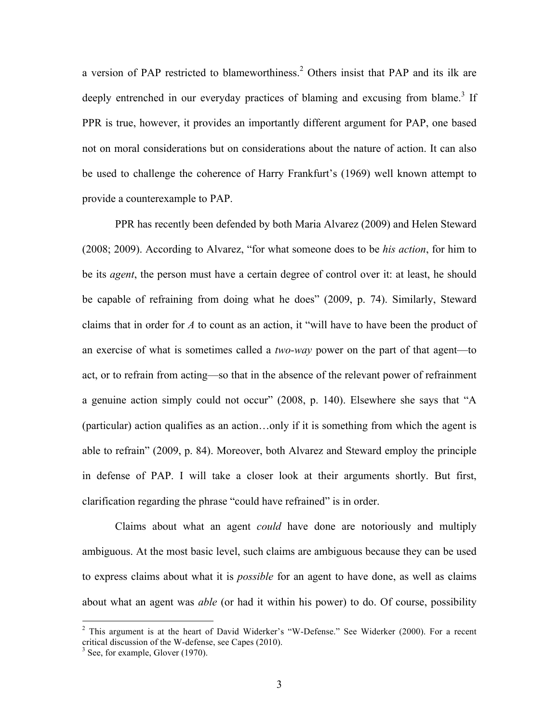a version of PAP restricted to blameworthiness.<sup>2</sup> Others insist that PAP and its ilk are deeply entrenched in our everyday practices of blaming and excusing from blame.<sup>3</sup> If PPR is true, however, it provides an importantly different argument for PAP, one based not on moral considerations but on considerations about the nature of action. It can also be used to challenge the coherence of Harry Frankfurt's (1969) well known attempt to provide a counterexample to PAP.

PPR has recently been defended by both Maria Alvarez (2009) and Helen Steward (2008; 2009). According to Alvarez, "for what someone does to be *his action*, for him to be its *agent*, the person must have a certain degree of control over it: at least, he should be capable of refraining from doing what he does" (2009, p. 74). Similarly, Steward claims that in order for *A* to count as an action, it "will have to have been the product of an exercise of what is sometimes called a *two-way* power on the part of that agent—to act, or to refrain from acting—so that in the absence of the relevant power of refrainment a genuine action simply could not occur" (2008, p. 140). Elsewhere she says that "A (particular) action qualifies as an action…only if it is something from which the agent is able to refrain" (2009, p. 84). Moreover, both Alvarez and Steward employ the principle in defense of PAP. I will take a closer look at their arguments shortly. But first, clarification regarding the phrase "could have refrained" is in order.

Claims about what an agent *could* have done are notoriously and multiply ambiguous. At the most basic level, such claims are ambiguous because they can be used to express claims about what it is *possible* for an agent to have done, as well as claims about what an agent was *able* (or had it within his power) to do. Of course, possibility

 $2$  This argument is at the heart of David Widerker's "W-Defense." See Widerker (2000). For a recent critical discussion of the W-defense, see Capes (2010). <sup>3</sup> See, for example, Glover (1970).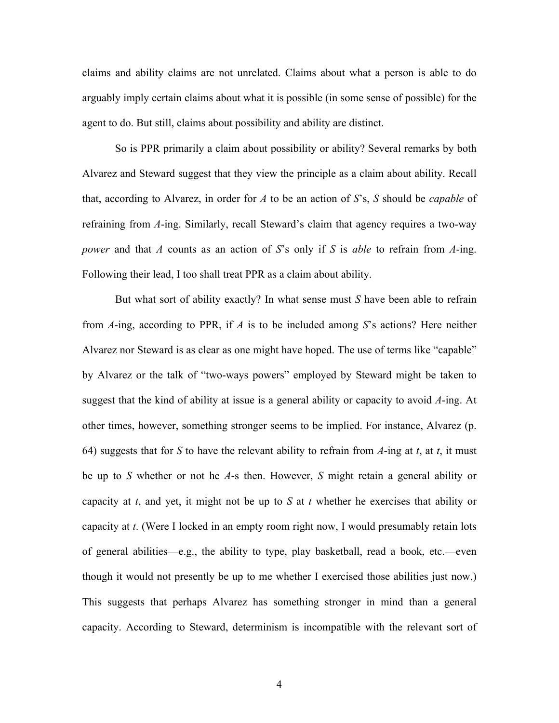claims and ability claims are not unrelated. Claims about what a person is able to do arguably imply certain claims about what it is possible (in some sense of possible) for the agent to do. But still, claims about possibility and ability are distinct.

So is PPR primarily a claim about possibility or ability? Several remarks by both Alvarez and Steward suggest that they view the principle as a claim about ability. Recall that, according to Alvarez, in order for *A* to be an action of *S*'s, *S* should be *capable* of refraining from *A*-ing. Similarly, recall Steward's claim that agency requires a two-way *power* and that *A* counts as an action of *S*'s only if *S* is *able* to refrain from *A*-ing. Following their lead, I too shall treat PPR as a claim about ability.

But what sort of ability exactly? In what sense must *S* have been able to refrain from *A*-ing, according to PPR, if *A* is to be included among *S*'s actions? Here neither Alvarez nor Steward is as clear as one might have hoped. The use of terms like "capable" by Alvarez or the talk of "two-ways powers" employed by Steward might be taken to suggest that the kind of ability at issue is a general ability or capacity to avoid *A*-ing. At other times, however, something stronger seems to be implied. For instance, Alvarez (p. 64) suggests that for *S* to have the relevant ability to refrain from *A*-ing at *t*, at *t*, it must be up to *S* whether or not he *A*-s then. However, *S* might retain a general ability or capacity at *t*, and yet, it might not be up to *S* at *t* whether he exercises that ability or capacity at *t*. (Were I locked in an empty room right now, I would presumably retain lots of general abilities—e.g., the ability to type, play basketball, read a book, etc.—even though it would not presently be up to me whether I exercised those abilities just now.) This suggests that perhaps Alvarez has something stronger in mind than a general capacity. According to Steward, determinism is incompatible with the relevant sort of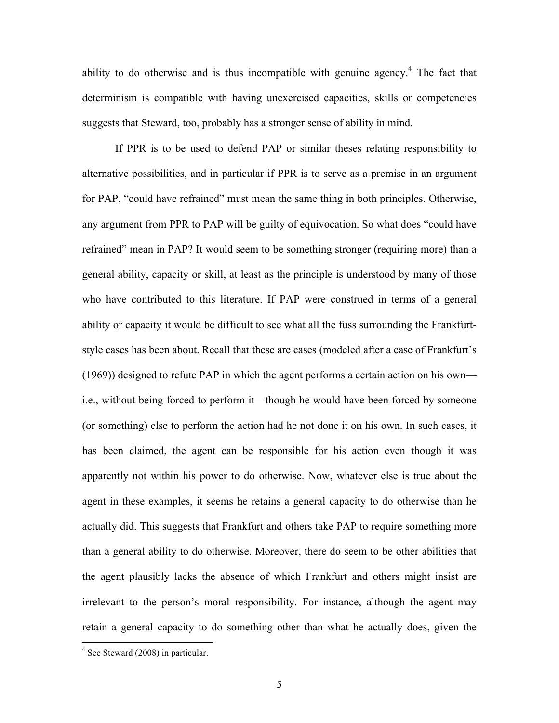ability to do otherwise and is thus incompatible with genuine agency.<sup>4</sup> The fact that determinism is compatible with having unexercised capacities, skills or competencies suggests that Steward, too, probably has a stronger sense of ability in mind.

If PPR is to be used to defend PAP or similar theses relating responsibility to alternative possibilities, and in particular if PPR is to serve as a premise in an argument for PAP, "could have refrained" must mean the same thing in both principles. Otherwise, any argument from PPR to PAP will be guilty of equivocation. So what does "could have refrained" mean in PAP? It would seem to be something stronger (requiring more) than a general ability, capacity or skill, at least as the principle is understood by many of those who have contributed to this literature. If PAP were construed in terms of a general ability or capacity it would be difficult to see what all the fuss surrounding the Frankfurtstyle cases has been about. Recall that these are cases (modeled after a case of Frankfurt's (1969)) designed to refute PAP in which the agent performs a certain action on his own i.e., without being forced to perform it—though he would have been forced by someone (or something) else to perform the action had he not done it on his own. In such cases, it has been claimed, the agent can be responsible for his action even though it was apparently not within his power to do otherwise. Now, whatever else is true about the agent in these examples, it seems he retains a general capacity to do otherwise than he actually did. This suggests that Frankfurt and others take PAP to require something more than a general ability to do otherwise. Moreover, there do seem to be other abilities that the agent plausibly lacks the absence of which Frankfurt and others might insist are irrelevant to the person's moral responsibility. For instance, although the agent may retain a general capacity to do something other than what he actually does, given the

 <sup>4</sup> See Steward (2008) in particular.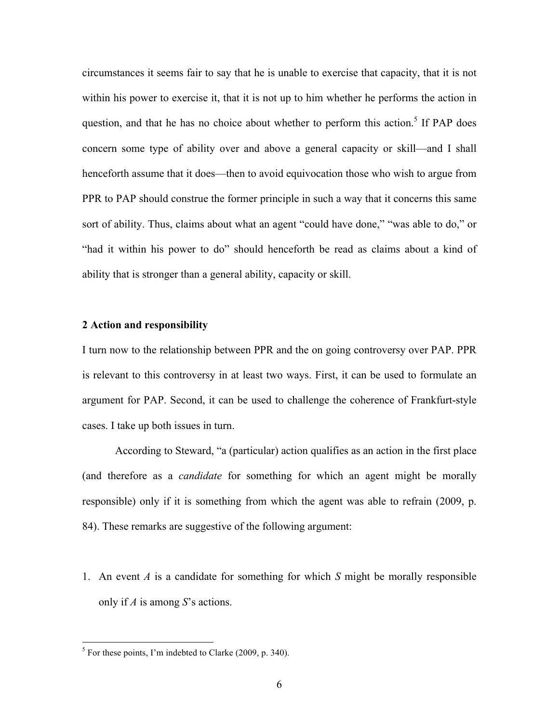circumstances it seems fair to say that he is unable to exercise that capacity, that it is not within his power to exercise it, that it is not up to him whether he performs the action in question, and that he has no choice about whether to perform this action.<sup>5</sup> If PAP does concern some type of ability over and above a general capacity or skill—and I shall henceforth assume that it does—then to avoid equivocation those who wish to argue from PPR to PAP should construe the former principle in such a way that it concerns this same sort of ability. Thus, claims about what an agent "could have done," "was able to do," or "had it within his power to do" should henceforth be read as claims about a kind of ability that is stronger than a general ability, capacity or skill.

# **2 Action and responsibility**

I turn now to the relationship between PPR and the on going controversy over PAP. PPR is relevant to this controversy in at least two ways. First, it can be used to formulate an argument for PAP. Second, it can be used to challenge the coherence of Frankfurt-style cases. I take up both issues in turn.

According to Steward, "a (particular) action qualifies as an action in the first place (and therefore as a *candidate* for something for which an agent might be morally responsible) only if it is something from which the agent was able to refrain (2009, p. 84). These remarks are suggestive of the following argument:

1. An event *A* is a candidate for something for which *S* might be morally responsible only if *A* is among *S*'s actions.

 $<sup>5</sup>$  For these points, I'm indebted to Clarke (2009, p. 340).</sup>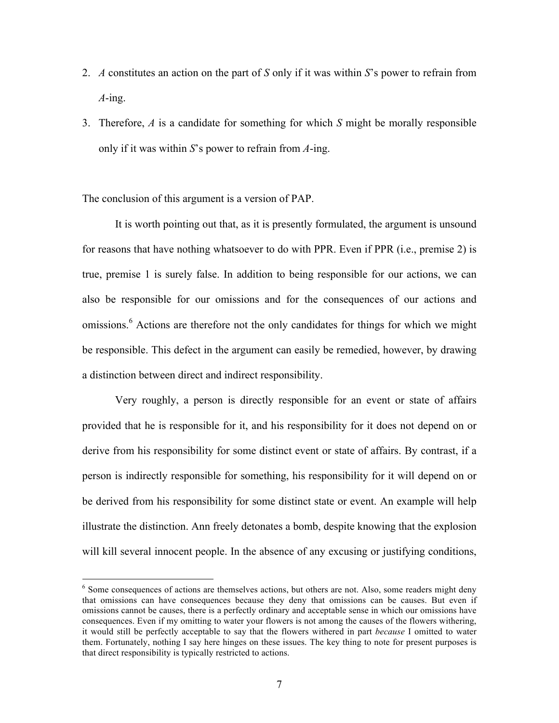- 2. *A* constitutes an action on the part of *S* only if it was within *S*'s power to refrain from *A*-ing.
- 3. Therefore, *A* is a candidate for something for which *S* might be morally responsible only if it was within *S*'s power to refrain from *A*-ing.

The conclusion of this argument is a version of PAP.

It is worth pointing out that, as it is presently formulated, the argument is unsound for reasons that have nothing whatsoever to do with PPR. Even if PPR (i.e., premise 2) is true, premise 1 is surely false. In addition to being responsible for our actions, we can also be responsible for our omissions and for the consequences of our actions and omissions.<sup>6</sup> Actions are therefore not the only candidates for things for which we might be responsible. This defect in the argument can easily be remedied, however, by drawing a distinction between direct and indirect responsibility.

Very roughly, a person is directly responsible for an event or state of affairs provided that he is responsible for it, and his responsibility for it does not depend on or derive from his responsibility for some distinct event or state of affairs. By contrast, if a person is indirectly responsible for something, his responsibility for it will depend on or be derived from his responsibility for some distinct state or event. An example will help illustrate the distinction. Ann freely detonates a bomb, despite knowing that the explosion will kill several innocent people. In the absence of any excusing or justifying conditions,

<sup>&</sup>lt;sup>6</sup> Some consequences of actions are themselves actions, but others are not. Also, some readers might deny that omissions can have consequences because they deny that omissions can be causes. But even if omissions cannot be causes, there is a perfectly ordinary and acceptable sense in which our omissions have consequences. Even if my omitting to water your flowers is not among the causes of the flowers withering, it would still be perfectly acceptable to say that the flowers withered in part *because* I omitted to water them. Fortunately, nothing I say here hinges on these issues. The key thing to note for present purposes is that direct responsibility is typically restricted to actions.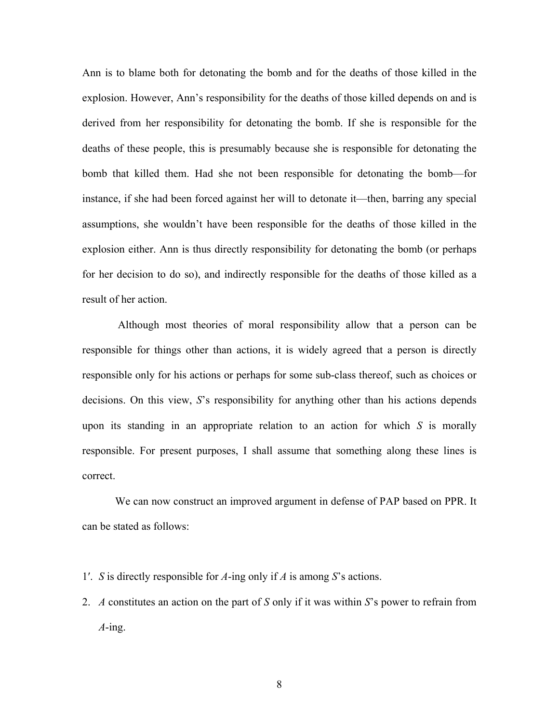Ann is to blame both for detonating the bomb and for the deaths of those killed in the explosion. However, Ann's responsibility for the deaths of those killed depends on and is derived from her responsibility for detonating the bomb. If she is responsible for the deaths of these people, this is presumably because she is responsible for detonating the bomb that killed them. Had she not been responsible for detonating the bomb—for instance, if she had been forced against her will to detonate it—then, barring any special assumptions, she wouldn't have been responsible for the deaths of those killed in the explosion either. Ann is thus directly responsibility for detonating the bomb (or perhaps for her decision to do so), and indirectly responsible for the deaths of those killed as a result of her action.

Although most theories of moral responsibility allow that a person can be responsible for things other than actions, it is widely agreed that a person is directly responsible only for his actions or perhaps for some sub-class thereof, such as choices or decisions. On this view, *S*'s responsibility for anything other than his actions depends upon its standing in an appropriate relation to an action for which *S* is morally responsible. For present purposes, I shall assume that something along these lines is correct.

We can now construct an improved argument in defense of PAP based on PPR. It can be stated as follows:

- 1′. *S* is directly responsible for *A*-ing only if *A* is among *S*'s actions.
- 2. *A* constitutes an action on the part of *S* only if it was within *S*'s power to refrain from *A*-ing.

8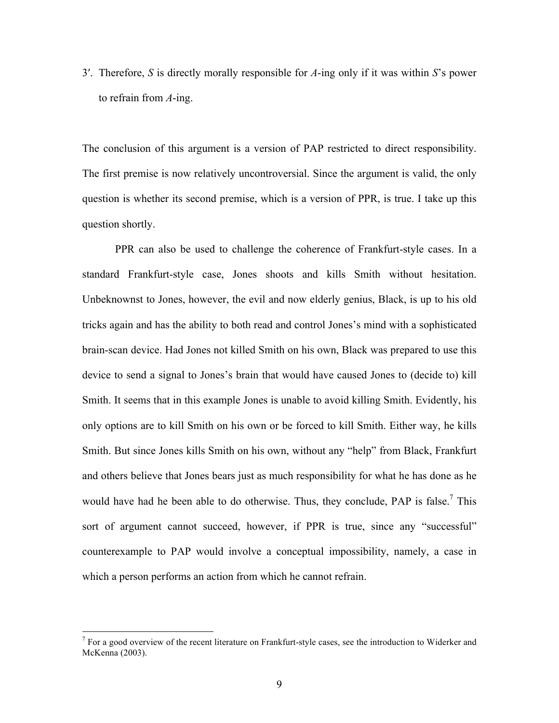3′. Therefore, *S* is directly morally responsible for *A*-ing only if it was within *S*'s power to refrain from *A*-ing.

The conclusion of this argument is a version of PAP restricted to direct responsibility. The first premise is now relatively uncontroversial. Since the argument is valid, the only question is whether its second premise, which is a version of PPR, is true. I take up this question shortly.

PPR can also be used to challenge the coherence of Frankfurt-style cases. In a standard Frankfurt-style case, Jones shoots and kills Smith without hesitation. Unbeknownst to Jones, however, the evil and now elderly genius, Black, is up to his old tricks again and has the ability to both read and control Jones's mind with a sophisticated brain-scan device. Had Jones not killed Smith on his own, Black was prepared to use this device to send a signal to Jones's brain that would have caused Jones to (decide to) kill Smith. It seems that in this example Jones is unable to avoid killing Smith. Evidently, his only options are to kill Smith on his own or be forced to kill Smith. Either way, he kills Smith. But since Jones kills Smith on his own, without any "help" from Black, Frankfurt and others believe that Jones bears just as much responsibility for what he has done as he would have had he been able to do otherwise. Thus, they conclude,  $PAP$  is false.<sup>7</sup> This sort of argument cannot succeed, however, if PPR is true, since any "successful" counterexample to PAP would involve a conceptual impossibility, namely, a case in which a person performs an action from which he cannot refrain.

 $<sup>7</sup>$  For a good overview of the recent literature on Frankfurt-style cases, see the introduction to Widerker and</sup> McKenna (2003).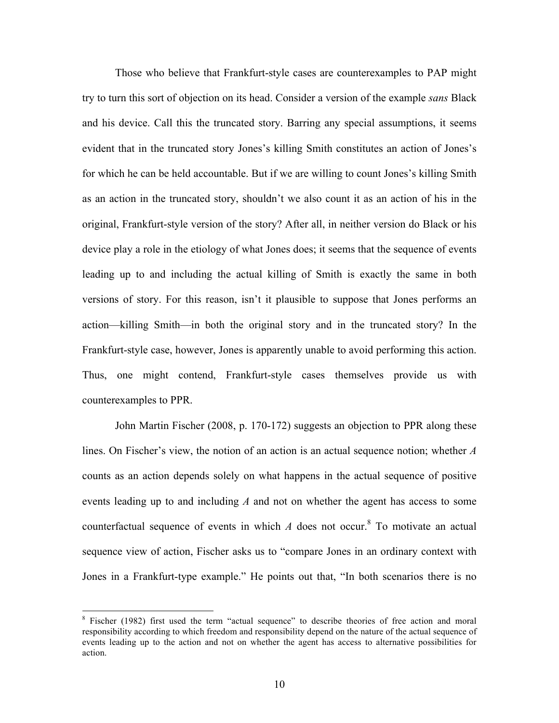Those who believe that Frankfurt-style cases are counterexamples to PAP might try to turn this sort of objection on its head. Consider a version of the example *sans* Black and his device. Call this the truncated story. Barring any special assumptions, it seems evident that in the truncated story Jones's killing Smith constitutes an action of Jones's for which he can be held accountable. But if we are willing to count Jones's killing Smith as an action in the truncated story, shouldn't we also count it as an action of his in the original, Frankfurt-style version of the story? After all, in neither version do Black or his device play a role in the etiology of what Jones does; it seems that the sequence of events leading up to and including the actual killing of Smith is exactly the same in both versions of story. For this reason, isn't it plausible to suppose that Jones performs an action—killing Smith—in both the original story and in the truncated story? In the Frankfurt-style case, however, Jones is apparently unable to avoid performing this action. Thus, one might contend, Frankfurt-style cases themselves provide us with counterexamples to PPR.

John Martin Fischer (2008, p. 170-172) suggests an objection to PPR along these lines. On Fischer's view, the notion of an action is an actual sequence notion; whether *A* counts as an action depends solely on what happens in the actual sequence of positive events leading up to and including *A* and not on whether the agent has access to some counterfactual sequence of events in which  $A$  does not occur.<sup>8</sup> To motivate an actual sequence view of action, Fischer asks us to "compare Jones in an ordinary context with Jones in a Frankfurt-type example." He points out that, "In both scenarios there is no

 <sup>8</sup> Fischer (1982) first used the term "actual sequence" to describe theories of free action and moral responsibility according to which freedom and responsibility depend on the nature of the actual sequence of events leading up to the action and not on whether the agent has access to alternative possibilities for action.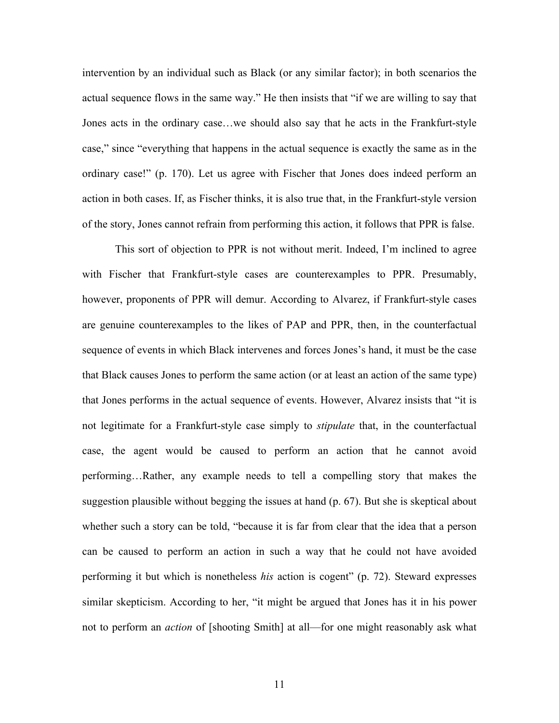intervention by an individual such as Black (or any similar factor); in both scenarios the actual sequence flows in the same way." He then insists that "if we are willing to say that Jones acts in the ordinary case…we should also say that he acts in the Frankfurt-style case," since "everything that happens in the actual sequence is exactly the same as in the ordinary case!" (p. 170). Let us agree with Fischer that Jones does indeed perform an action in both cases. If, as Fischer thinks, it is also true that, in the Frankfurt-style version of the story, Jones cannot refrain from performing this action, it follows that PPR is false.

This sort of objection to PPR is not without merit. Indeed, I'm inclined to agree with Fischer that Frankfurt-style cases are counterexamples to PPR. Presumably, however, proponents of PPR will demur. According to Alvarez, if Frankfurt-style cases are genuine counterexamples to the likes of PAP and PPR, then, in the counterfactual sequence of events in which Black intervenes and forces Jones's hand, it must be the case that Black causes Jones to perform the same action (or at least an action of the same type) that Jones performs in the actual sequence of events. However, Alvarez insists that "it is not legitimate for a Frankfurt-style case simply to *stipulate* that, in the counterfactual case, the agent would be caused to perform an action that he cannot avoid performing…Rather, any example needs to tell a compelling story that makes the suggestion plausible without begging the issues at hand (p. 67). But she is skeptical about whether such a story can be told, "because it is far from clear that the idea that a person can be caused to perform an action in such a way that he could not have avoided performing it but which is nonetheless *his* action is cogent" (p. 72). Steward expresses similar skepticism. According to her, "it might be argued that Jones has it in his power not to perform an *action* of [shooting Smith] at all—for one might reasonably ask what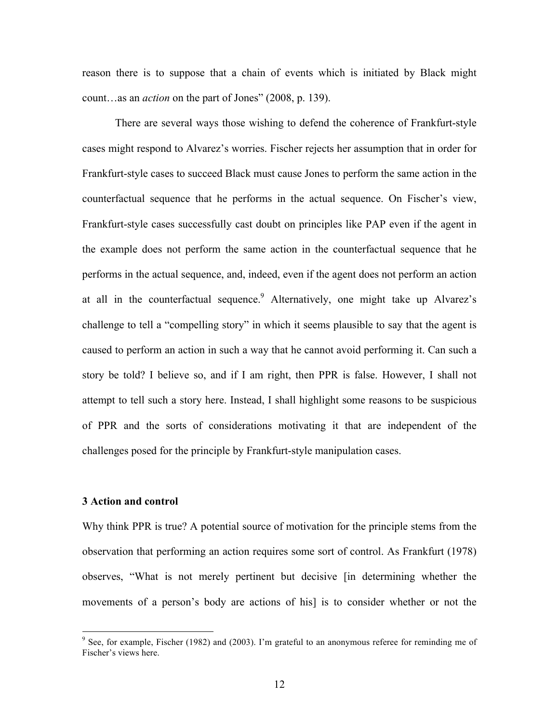reason there is to suppose that a chain of events which is initiated by Black might count…as an *action* on the part of Jones" (2008, p. 139).

There are several ways those wishing to defend the coherence of Frankfurt-style cases might respond to Alvarez's worries. Fischer rejects her assumption that in order for Frankfurt-style cases to succeed Black must cause Jones to perform the same action in the counterfactual sequence that he performs in the actual sequence. On Fischer's view, Frankfurt-style cases successfully cast doubt on principles like PAP even if the agent in the example does not perform the same action in the counterfactual sequence that he performs in the actual sequence, and, indeed, even if the agent does not perform an action at all in the counterfactual sequence.<sup>9</sup> Alternatively, one might take up Alvarez's challenge to tell a "compelling story" in which it seems plausible to say that the agent is caused to perform an action in such a way that he cannot avoid performing it. Can such a story be told? I believe so, and if I am right, then PPR is false. However, I shall not attempt to tell such a story here. Instead, I shall highlight some reasons to be suspicious of PPR and the sorts of considerations motivating it that are independent of the challenges posed for the principle by Frankfurt-style manipulation cases.

#### **3 Action and control**

Why think PPR is true? A potential source of motivation for the principle stems from the observation that performing an action requires some sort of control. As Frankfurt (1978) observes, "What is not merely pertinent but decisive [in determining whether the movements of a person's body are actions of his] is to consider whether or not the

<sup>&</sup>lt;sup>9</sup> See, for example, Fischer (1982) and (2003). I'm grateful to an anonymous referee for reminding me of Fischer's views here.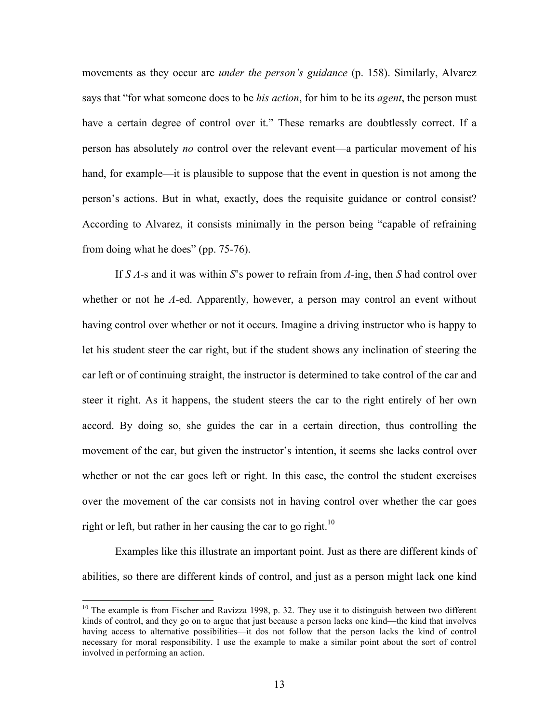movements as they occur are *under the person's guidance* (p. 158). Similarly, Alvarez says that "for what someone does to be *his action*, for him to be its *agent*, the person must have a certain degree of control over it." These remarks are doubtlessly correct. If a person has absolutely *no* control over the relevant event—a particular movement of his hand, for example—it is plausible to suppose that the event in question is not among the person's actions. But in what, exactly, does the requisite guidance or control consist? According to Alvarez, it consists minimally in the person being "capable of refraining from doing what he does" (pp. 75-76).

If *S A*-s and it was within *S*'s power to refrain from *A*-ing, then *S* had control over whether or not he *A*-ed. Apparently, however, a person may control an event without having control over whether or not it occurs. Imagine a driving instructor who is happy to let his student steer the car right, but if the student shows any inclination of steering the car left or of continuing straight, the instructor is determined to take control of the car and steer it right. As it happens, the student steers the car to the right entirely of her own accord. By doing so, she guides the car in a certain direction, thus controlling the movement of the car, but given the instructor's intention, it seems she lacks control over whether or not the car goes left or right. In this case, the control the student exercises over the movement of the car consists not in having control over whether the car goes right or left, but rather in her causing the car to go right.<sup>10</sup>

Examples like this illustrate an important point. Just as there are different kinds of abilities, so there are different kinds of control, and just as a person might lack one kind

<sup>&</sup>lt;sup>10</sup> The example is from Fischer and Ravizza 1998, p. 32. They use it to distinguish between two different kinds of control, and they go on to argue that just because a person lacks one kind—the kind that involves having access to alternative possibilities—it dos not follow that the person lacks the kind of control necessary for moral responsibility. I use the example to make a similar point about the sort of control involved in performing an action.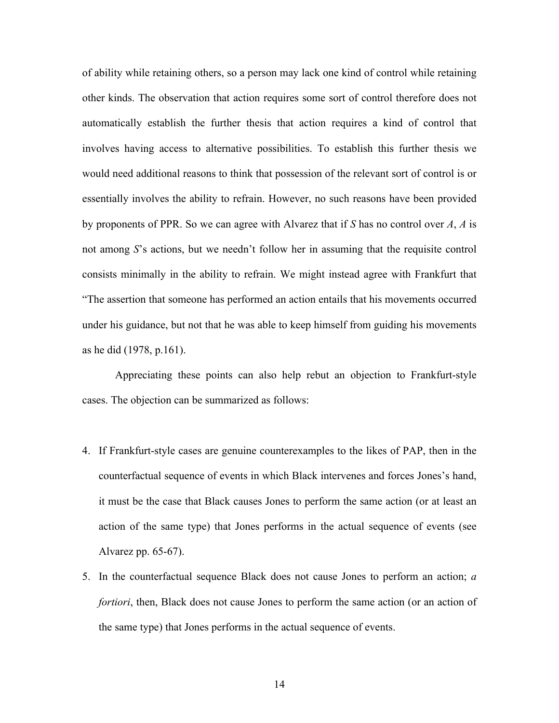of ability while retaining others, so a person may lack one kind of control while retaining other kinds. The observation that action requires some sort of control therefore does not automatically establish the further thesis that action requires a kind of control that involves having access to alternative possibilities. To establish this further thesis we would need additional reasons to think that possession of the relevant sort of control is or essentially involves the ability to refrain. However, no such reasons have been provided by proponents of PPR. So we can agree with Alvarez that if *S* has no control over *A*, *A* is not among *S*'s actions, but we needn't follow her in assuming that the requisite control consists minimally in the ability to refrain. We might instead agree with Frankfurt that "The assertion that someone has performed an action entails that his movements occurred under his guidance, but not that he was able to keep himself from guiding his movements as he did (1978, p.161).

Appreciating these points can also help rebut an objection to Frankfurt-style cases. The objection can be summarized as follows:

- 4. If Frankfurt-style cases are genuine counterexamples to the likes of PAP, then in the counterfactual sequence of events in which Black intervenes and forces Jones's hand, it must be the case that Black causes Jones to perform the same action (or at least an action of the same type) that Jones performs in the actual sequence of events (see Alvarez pp. 65-67).
- 5. In the counterfactual sequence Black does not cause Jones to perform an action; *a fortiori*, then, Black does not cause Jones to perform the same action (or an action of the same type) that Jones performs in the actual sequence of events.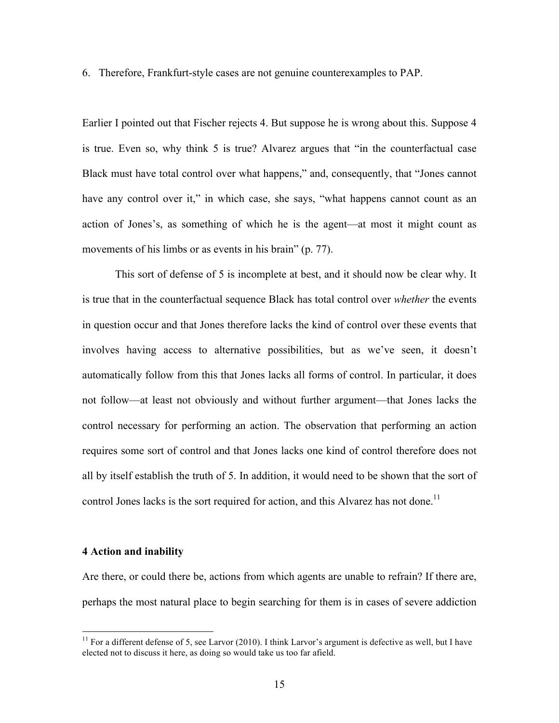6. Therefore, Frankfurt-style cases are not genuine counterexamples to PAP.

Earlier I pointed out that Fischer rejects 4. But suppose he is wrong about this. Suppose 4 is true. Even so, why think 5 is true? Alvarez argues that "in the counterfactual case Black must have total control over what happens," and, consequently, that "Jones cannot have any control over it," in which case, she says, "what happens cannot count as an action of Jones's, as something of which he is the agent—at most it might count as movements of his limbs or as events in his brain" (p. 77).

This sort of defense of 5 is incomplete at best, and it should now be clear why. It is true that in the counterfactual sequence Black has total control over *whether* the events in question occur and that Jones therefore lacks the kind of control over these events that involves having access to alternative possibilities, but as we've seen, it doesn't automatically follow from this that Jones lacks all forms of control. In particular, it does not follow—at least not obviously and without further argument—that Jones lacks the control necessary for performing an action. The observation that performing an action requires some sort of control and that Jones lacks one kind of control therefore does not all by itself establish the truth of 5. In addition, it would need to be shown that the sort of control Jones lacks is the sort required for action, and this Alvarez has not done.<sup>11</sup>

### **4 Action and inability**

Are there, or could there be, actions from which agents are unable to refrain? If there are, perhaps the most natural place to begin searching for them is in cases of severe addiction

 $11$  For a different defense of 5, see Larvor (2010). I think Larvor's argument is defective as well, but I have elected not to discuss it here, as doing so would take us too far afield.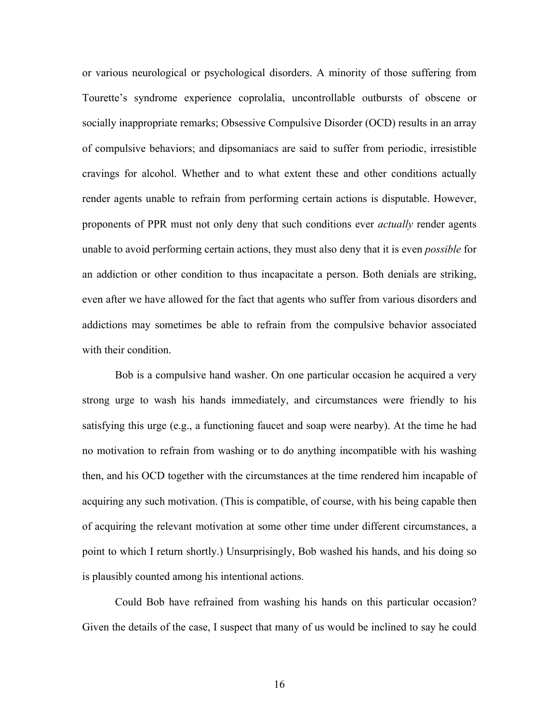or various neurological or psychological disorders. A minority of those suffering from Tourette's syndrome experience coprolalia, uncontrollable outbursts of obscene or socially inappropriate remarks; Obsessive Compulsive Disorder (OCD) results in an array of compulsive behaviors; and dipsomaniacs are said to suffer from periodic, irresistible cravings for alcohol. Whether and to what extent these and other conditions actually render agents unable to refrain from performing certain actions is disputable. However, proponents of PPR must not only deny that such conditions ever *actually* render agents unable to avoid performing certain actions, they must also deny that it is even *possible* for an addiction or other condition to thus incapacitate a person. Both denials are striking, even after we have allowed for the fact that agents who suffer from various disorders and addictions may sometimes be able to refrain from the compulsive behavior associated with their condition.

Bob is a compulsive hand washer. On one particular occasion he acquired a very strong urge to wash his hands immediately, and circumstances were friendly to his satisfying this urge (e.g., a functioning faucet and soap were nearby). At the time he had no motivation to refrain from washing or to do anything incompatible with his washing then, and his OCD together with the circumstances at the time rendered him incapable of acquiring any such motivation. (This is compatible, of course, with his being capable then of acquiring the relevant motivation at some other time under different circumstances, a point to which I return shortly.) Unsurprisingly, Bob washed his hands, and his doing so is plausibly counted among his intentional actions.

Could Bob have refrained from washing his hands on this particular occasion? Given the details of the case, I suspect that many of us would be inclined to say he could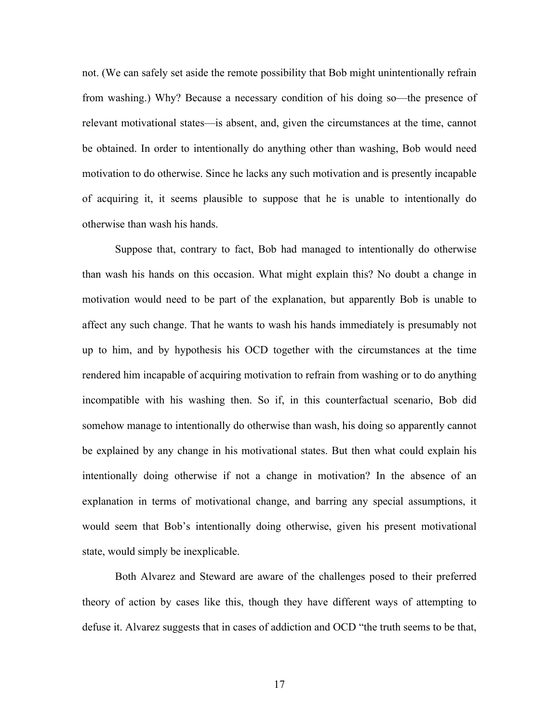not. (We can safely set aside the remote possibility that Bob might unintentionally refrain from washing.) Why? Because a necessary condition of his doing so—the presence of relevant motivational states—is absent, and, given the circumstances at the time, cannot be obtained. In order to intentionally do anything other than washing, Bob would need motivation to do otherwise. Since he lacks any such motivation and is presently incapable of acquiring it, it seems plausible to suppose that he is unable to intentionally do otherwise than wash his hands.

Suppose that, contrary to fact, Bob had managed to intentionally do otherwise than wash his hands on this occasion. What might explain this? No doubt a change in motivation would need to be part of the explanation, but apparently Bob is unable to affect any such change. That he wants to wash his hands immediately is presumably not up to him, and by hypothesis his OCD together with the circumstances at the time rendered him incapable of acquiring motivation to refrain from washing or to do anything incompatible with his washing then. So if, in this counterfactual scenario, Bob did somehow manage to intentionally do otherwise than wash, his doing so apparently cannot be explained by any change in his motivational states. But then what could explain his intentionally doing otherwise if not a change in motivation? In the absence of an explanation in terms of motivational change, and barring any special assumptions, it would seem that Bob's intentionally doing otherwise, given his present motivational state, would simply be inexplicable.

Both Alvarez and Steward are aware of the challenges posed to their preferred theory of action by cases like this, though they have different ways of attempting to defuse it. Alvarez suggests that in cases of addiction and OCD "the truth seems to be that,

17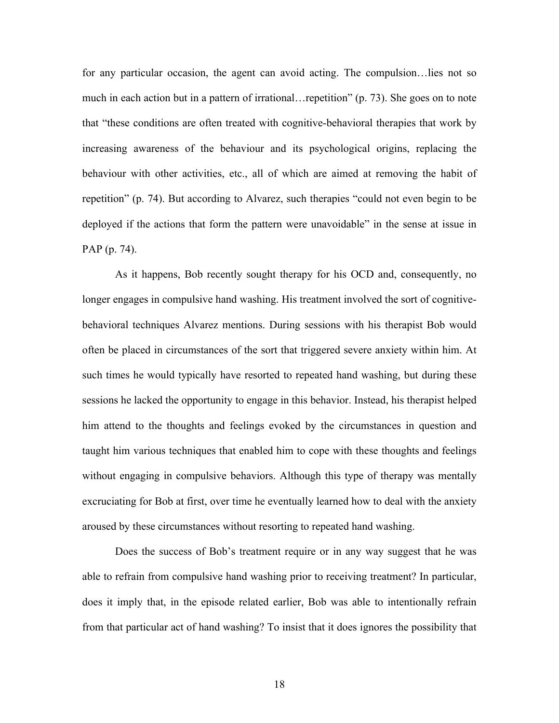for any particular occasion, the agent can avoid acting. The compulsion…lies not so much in each action but in a pattern of irrational…repetition" (p. 73). She goes on to note that "these conditions are often treated with cognitive-behavioral therapies that work by increasing awareness of the behaviour and its psychological origins, replacing the behaviour with other activities, etc., all of which are aimed at removing the habit of repetition" (p. 74). But according to Alvarez, such therapies "could not even begin to be deployed if the actions that form the pattern were unavoidable" in the sense at issue in PAP (p. 74).

As it happens, Bob recently sought therapy for his OCD and, consequently, no longer engages in compulsive hand washing. His treatment involved the sort of cognitivebehavioral techniques Alvarez mentions. During sessions with his therapist Bob would often be placed in circumstances of the sort that triggered severe anxiety within him. At such times he would typically have resorted to repeated hand washing, but during these sessions he lacked the opportunity to engage in this behavior. Instead, his therapist helped him attend to the thoughts and feelings evoked by the circumstances in question and taught him various techniques that enabled him to cope with these thoughts and feelings without engaging in compulsive behaviors. Although this type of therapy was mentally excruciating for Bob at first, over time he eventually learned how to deal with the anxiety aroused by these circumstances without resorting to repeated hand washing.

Does the success of Bob's treatment require or in any way suggest that he was able to refrain from compulsive hand washing prior to receiving treatment? In particular, does it imply that, in the episode related earlier, Bob was able to intentionally refrain from that particular act of hand washing? To insist that it does ignores the possibility that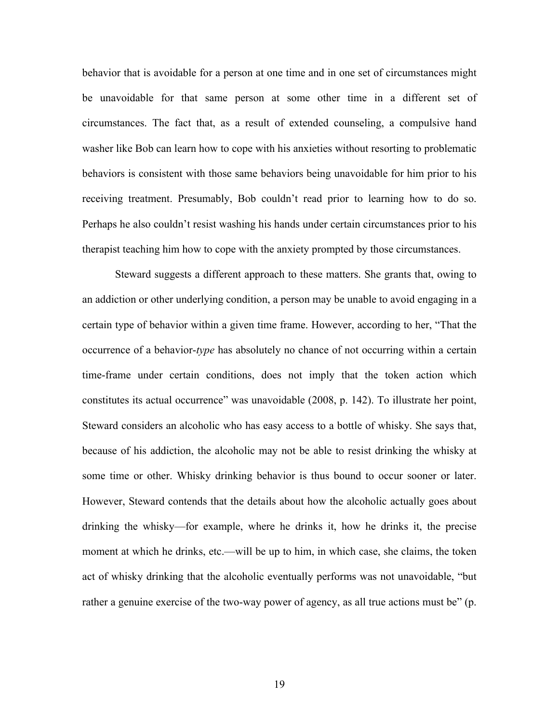behavior that is avoidable for a person at one time and in one set of circumstances might be unavoidable for that same person at some other time in a different set of circumstances. The fact that, as a result of extended counseling, a compulsive hand washer like Bob can learn how to cope with his anxieties without resorting to problematic behaviors is consistent with those same behaviors being unavoidable for him prior to his receiving treatment. Presumably, Bob couldn't read prior to learning how to do so. Perhaps he also couldn't resist washing his hands under certain circumstances prior to his therapist teaching him how to cope with the anxiety prompted by those circumstances.

Steward suggests a different approach to these matters. She grants that, owing to an addiction or other underlying condition, a person may be unable to avoid engaging in a certain type of behavior within a given time frame. However, according to her, "That the occurrence of a behavior-*type* has absolutely no chance of not occurring within a certain time-frame under certain conditions, does not imply that the token action which constitutes its actual occurrence" was unavoidable (2008, p. 142). To illustrate her point, Steward considers an alcoholic who has easy access to a bottle of whisky. She says that, because of his addiction, the alcoholic may not be able to resist drinking the whisky at some time or other. Whisky drinking behavior is thus bound to occur sooner or later. However, Steward contends that the details about how the alcoholic actually goes about drinking the whisky—for example, where he drinks it, how he drinks it, the precise moment at which he drinks, etc.—will be up to him, in which case, she claims, the token act of whisky drinking that the alcoholic eventually performs was not unavoidable, "but rather a genuine exercise of the two-way power of agency, as all true actions must be" (p.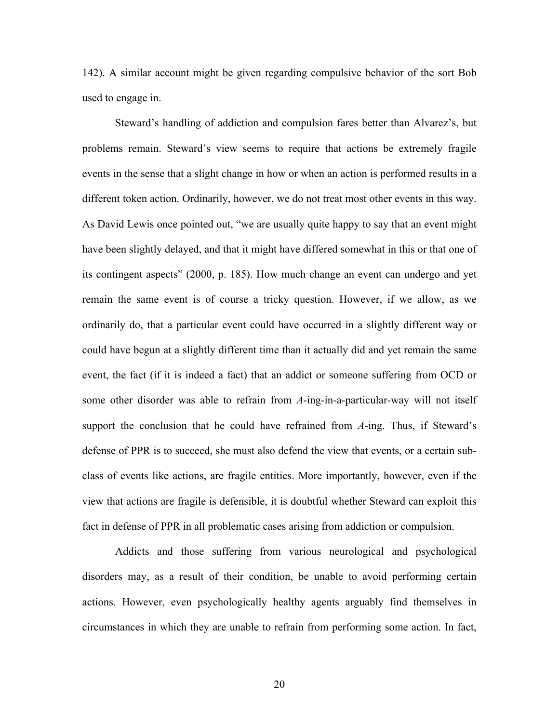142). A similar account might be given regarding compulsive behavior of the sort Bob used to engage in.

Steward's handling of addiction and compulsion fares better than Alvarez's, but problems remain. Steward's view seems to require that actions be extremely fragile events in the sense that a slight change in how or when an action is performed results in a different token action. Ordinarily, however, we do not treat most other events in this way. As David Lewis once pointed out, "we are usually quite happy to say that an event might have been slightly delayed, and that it might have differed somewhat in this or that one of its contingent aspects" (2000, p. 185). How much change an event can undergo and yet remain the same event is of course a tricky question. However, if we allow, as we ordinarily do, that a particular event could have occurred in a slightly different way or could have begun at a slightly different time than it actually did and yet remain the same event, the fact (if it is indeed a fact) that an addict or someone suffering from OCD or some other disorder was able to refrain from *A*-ing-in-a-particular-way will not itself support the conclusion that he could have refrained from *A*-ing. Thus, if Steward's defense of PPR is to succeed, she must also defend the view that events, or a certain subclass of events like actions, are fragile entities. More importantly, however, even if the view that actions are fragile is defensible, it is doubtful whether Steward can exploit this fact in defense of PPR in all problematic cases arising from addiction or compulsion.

Addicts and those suffering from various neurological and psychological disorders may, as a result of their condition, be unable to avoid performing certain actions. However, even psychologically healthy agents arguably find themselves in circumstances in which they are unable to refrain from performing some action. In fact,

20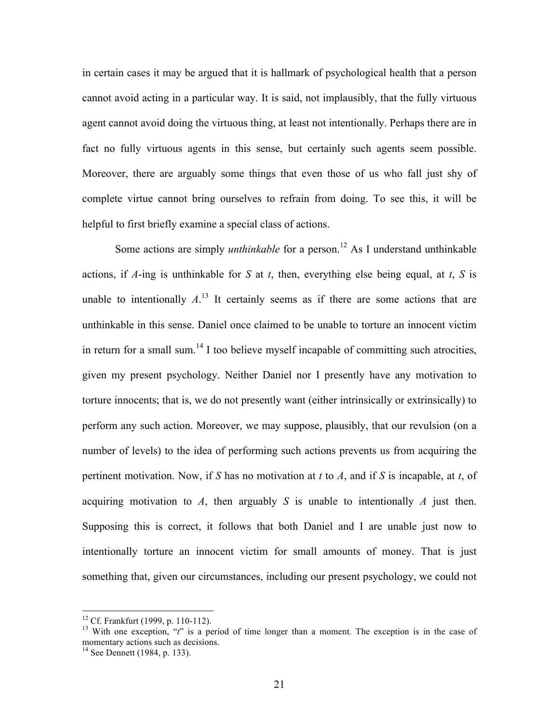in certain cases it may be argued that it is hallmark of psychological health that a person cannot avoid acting in a particular way. It is said, not implausibly, that the fully virtuous agent cannot avoid doing the virtuous thing, at least not intentionally. Perhaps there are in fact no fully virtuous agents in this sense, but certainly such agents seem possible. Moreover, there are arguably some things that even those of us who fall just shy of complete virtue cannot bring ourselves to refrain from doing. To see this, it will be helpful to first briefly examine a special class of actions.

Some actions are simply *unthinkable* for a person.<sup>12</sup> As I understand unthinkable actions, if *A*-ing is unthinkable for *S* at *t*, then, everything else being equal, at *t*, *S* is unable to intentionally  $A<sup>13</sup>$ . It certainly seems as if there are some actions that are unthinkable in this sense. Daniel once claimed to be unable to torture an innocent victim in return for a small sum.<sup>14</sup> I too believe myself incapable of committing such atrocities, given my present psychology. Neither Daniel nor I presently have any motivation to torture innocents; that is, we do not presently want (either intrinsically or extrinsically) to perform any such action. Moreover, we may suppose, plausibly, that our revulsion (on a number of levels) to the idea of performing such actions prevents us from acquiring the pertinent motivation. Now, if *S* has no motivation at *t* to *A*, and if *S* is incapable, at *t*, of acquiring motivation to *A*, then arguably *S* is unable to intentionally *A* just then. Supposing this is correct, it follows that both Daniel and I are unable just now to intentionally torture an innocent victim for small amounts of money. That is just something that, given our circumstances, including our present psychology, we could not

<sup>&</sup>lt;sup>12</sup> Cf. Frankfurt (1999, p. 110-112).<br><sup>13</sup> With one exception, "*t*" is a period of time longer than a moment. The exception is in the case of momentary actions such as decisions.

<sup>&</sup>lt;sup>14</sup> See Dennett (1984, p. 133).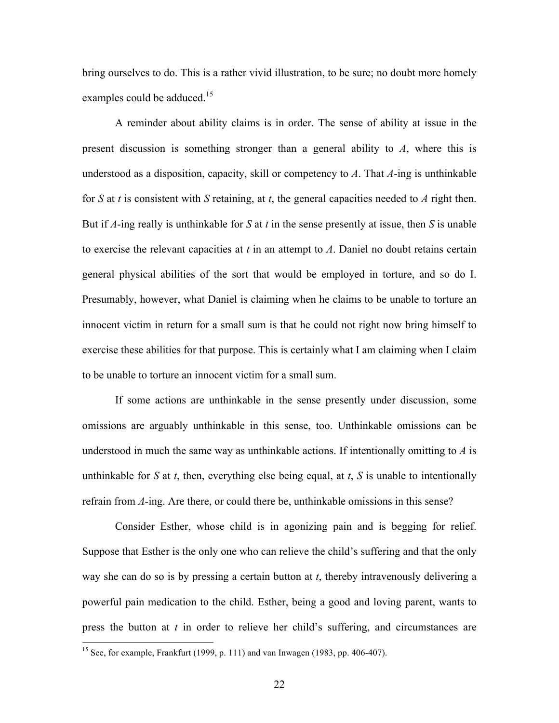bring ourselves to do. This is a rather vivid illustration, to be sure; no doubt more homely examples could be adduced.<sup>15</sup>

A reminder about ability claims is in order. The sense of ability at issue in the present discussion is something stronger than a general ability to *A*, where this is understood as a disposition, capacity, skill or competency to *A*. That *A*-ing is unthinkable for *S* at *t* is consistent with *S* retaining, at *t*, the general capacities needed to *A* right then. But if *A*-ing really is unthinkable for *S* at *t* in the sense presently at issue, then *S* is unable to exercise the relevant capacities at *t* in an attempt to *A*. Daniel no doubt retains certain general physical abilities of the sort that would be employed in torture, and so do I. Presumably, however, what Daniel is claiming when he claims to be unable to torture an innocent victim in return for a small sum is that he could not right now bring himself to exercise these abilities for that purpose. This is certainly what I am claiming when I claim to be unable to torture an innocent victim for a small sum.

If some actions are unthinkable in the sense presently under discussion, some omissions are arguably unthinkable in this sense, too. Unthinkable omissions can be understood in much the same way as unthinkable actions. If intentionally omitting to *A* is unthinkable for *S* at *t*, then, everything else being equal, at *t*, *S* is unable to intentionally refrain from *A*-ing. Are there, or could there be, unthinkable omissions in this sense?

Consider Esther, whose child is in agonizing pain and is begging for relief. Suppose that Esther is the only one who can relieve the child's suffering and that the only way she can do so is by pressing a certain button at *t*, thereby intravenously delivering a powerful pain medication to the child. Esther, being a good and loving parent, wants to press the button at *t* in order to relieve her child's suffering, and circumstances are

<sup>&</sup>lt;sup>15</sup> See, for example, Frankfurt (1999, p. 111) and van Inwagen (1983, pp. 406-407).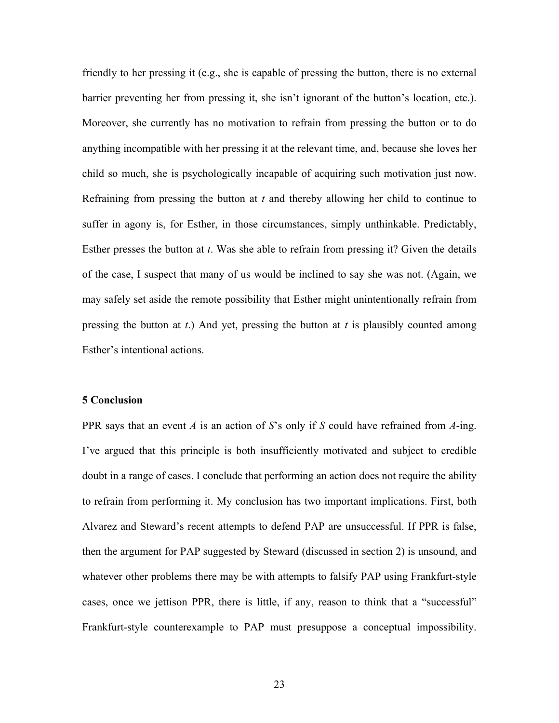friendly to her pressing it (e.g., she is capable of pressing the button, there is no external barrier preventing her from pressing it, she isn't ignorant of the button's location, etc.). Moreover, she currently has no motivation to refrain from pressing the button or to do anything incompatible with her pressing it at the relevant time, and, because she loves her child so much, she is psychologically incapable of acquiring such motivation just now. Refraining from pressing the button at *t* and thereby allowing her child to continue to suffer in agony is, for Esther, in those circumstances, simply unthinkable. Predictably, Esther presses the button at *t*. Was she able to refrain from pressing it? Given the details of the case, I suspect that many of us would be inclined to say she was not. (Again, we may safely set aside the remote possibility that Esther might unintentionally refrain from pressing the button at *t*.) And yet, pressing the button at *t* is plausibly counted among Esther's intentional actions.

# **5 Conclusion**

PPR says that an event *A* is an action of *S*'s only if *S* could have refrained from *A*-ing. I've argued that this principle is both insufficiently motivated and subject to credible doubt in a range of cases. I conclude that performing an action does not require the ability to refrain from performing it. My conclusion has two important implications. First, both Alvarez and Steward's recent attempts to defend PAP are unsuccessful. If PPR is false, then the argument for PAP suggested by Steward (discussed in section 2) is unsound, and whatever other problems there may be with attempts to falsify PAP using Frankfurt-style cases, once we jettison PPR, there is little, if any, reason to think that a "successful" Frankfurt-style counterexample to PAP must presuppose a conceptual impossibility.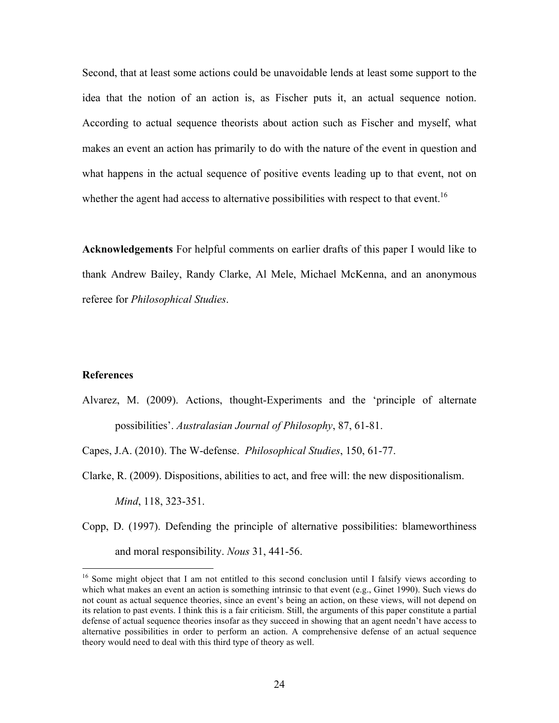Second, that at least some actions could be unavoidable lends at least some support to the idea that the notion of an action is, as Fischer puts it, an actual sequence notion. According to actual sequence theorists about action such as Fischer and myself, what makes an event an action has primarily to do with the nature of the event in question and what happens in the actual sequence of positive events leading up to that event, not on whether the agent had access to alternative possibilities with respect to that event.<sup>16</sup>

**Acknowledgements** For helpful comments on earlier drafts of this paper I would like to thank Andrew Bailey, Randy Clarke, Al Mele, Michael McKenna, and an anonymous referee for *Philosophical Studies*.

# **References**

Alvarez, M. (2009). Actions, thought-Experiments and the 'principle of alternate possibilities'. *Australasian Journal of Philosophy*, 87, 61-81.

Capes, J.A. (2010). The W-defense. *Philosophical Studies*, 150, 61-77.

Clarke, R. (2009). Dispositions, abilities to act, and free will: the new dispositionalism. *Mind*, 118, 323-351.

Copp, D. (1997). Defending the principle of alternative possibilities: blameworthiness and moral responsibility. *Nous* 31, 441-56.

<sup>&</sup>lt;sup>16</sup> Some might object that I am not entitled to this second conclusion until I falsify views according to which what makes an event an action is something intrinsic to that event (e.g., Ginet 1990). Such views do not count as actual sequence theories, since an event's being an action, on these views, will not depend on its relation to past events. I think this is a fair criticism. Still, the arguments of this paper constitute a partial defense of actual sequence theories insofar as they succeed in showing that an agent needn't have access to alternative possibilities in order to perform an action. A comprehensive defense of an actual sequence theory would need to deal with this third type of theory as well.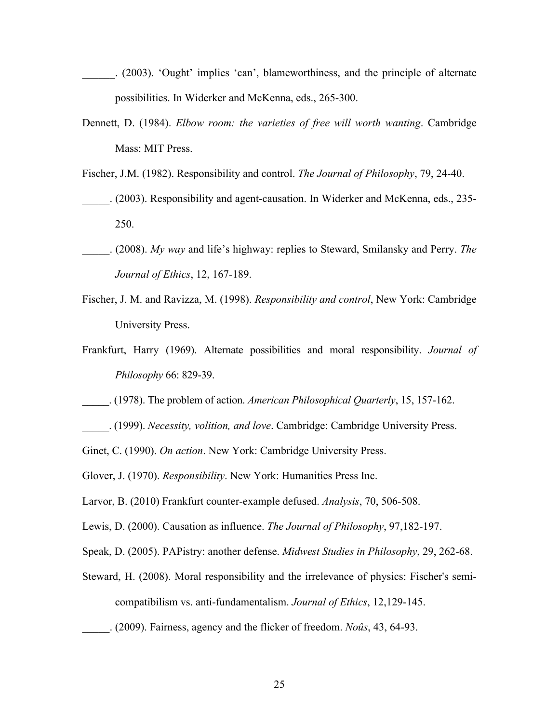- (2003). 'Ought' implies 'can', blameworthiness, and the principle of alternate possibilities. In Widerker and McKenna, eds., 265-300.
- Dennett, D. (1984). *Elbow room: the varieties of free will worth wanting*. Cambridge Mass: MIT Press.
- Fischer, J.M. (1982). Responsibility and control. *The Journal of Philosophy*, 79, 24-40.
- \_\_\_\_\_. (2003). Responsibility and agent-causation. In Widerker and McKenna, eds., 235- 250.
- \_\_\_\_\_. (2008). *My way* and life's highway: replies to Steward, Smilansky and Perry. *The Journal of Ethics*, 12, 167-189.
- Fischer, J. M. and Ravizza, M. (1998). *Responsibility and control*, New York: Cambridge University Press.
- Frankfurt, Harry (1969). Alternate possibilities and moral responsibility. *Journal of Philosophy* 66: 829-39.
- \_\_\_\_\_. (1978). The problem of action. *American Philosophical Quarterly*, 15, 157-162.
- \_\_\_\_\_. (1999). *Necessity, volition, and love*. Cambridge: Cambridge University Press.
- Ginet, C. (1990). *On action*. New York: Cambridge University Press.
- Glover, J. (1970). *Responsibility*. New York: Humanities Press Inc.
- Larvor, B. (2010) Frankfurt counter-example defused. *Analysis*, 70, 506-508.
- Lewis, D. (2000). Causation as influence. *The Journal of Philosophy*, 97,182-197.
- Speak, D. (2005). PAPistry: another defense. *Midwest Studies in Philosophy*, 29, 262-68.
- Steward, H. (2008). Moral responsibility and the irrelevance of physics: Fischer's semicompatibilism vs. anti-fundamentalism. *Journal of Ethics*, 12,129-145.
- \_\_\_\_\_. (2009). Fairness, agency and the flicker of freedom. *Noûs*, 43, 64-93.